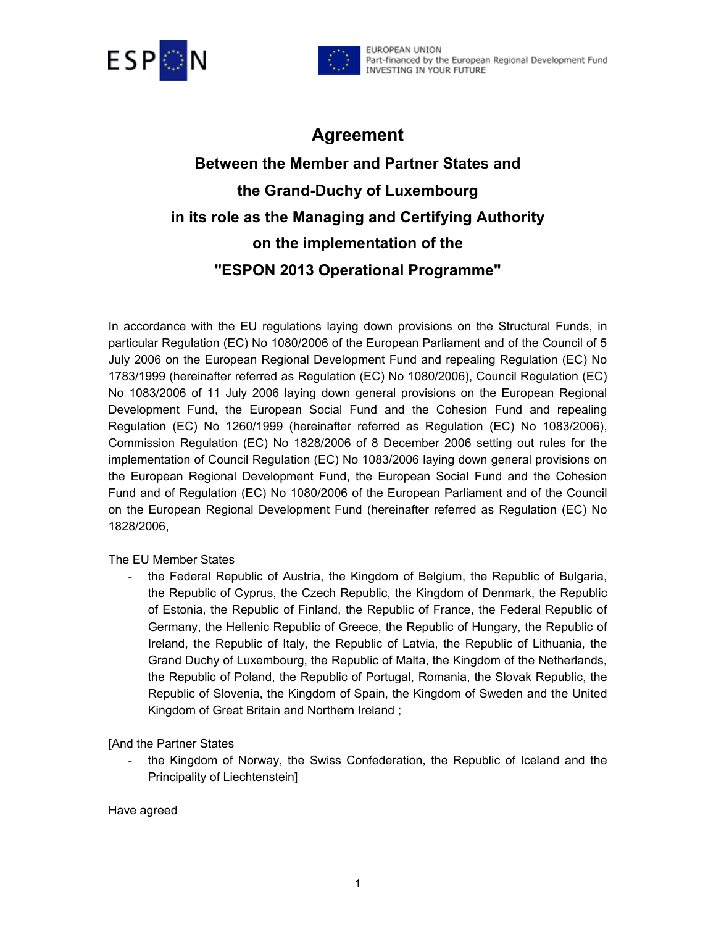



# **Agreement**

# **Between the Member and Partner States and the Grand-Duchy of Luxembourg in its role as the Managing and Certifying Authority on the implementation of the "ESPON 2013 Operational Programme"**

In accordance with the EU regulations laying down provisions on the Structural Funds, in particular Regulation (EC) No 1080/2006 of the European Parliament and of the Council of 5 July 2006 on the European Regional Development Fund and repealing Regulation (EC) No 1783/1999 (hereinafter referred as Regulation (EC) No 1080/2006), Council Regulation (EC) No 1083/2006 of 11 July 2006 laying down general provisions on the European Regional Development Fund, the European Social Fund and the Cohesion Fund and repealing Regulation (EC) No 1260/1999 (hereinafter referred as Regulation (EC) No 1083/2006), Commission Regulation (EC) No 1828/2006 of 8 December 2006 setting out rules for the implementation of Council Regulation (EC) No 1083/2006 laying down general provisions on the European Regional Development Fund, the European Social Fund and the Cohesion Fund and of Regulation (EC) No 1080/2006 of the European Parliament and of the Council on the European Regional Development Fund (hereinafter referred as Regulation (EC) No 1828/2006,

#### The EU Member States

- the Federal Republic of Austria, the Kingdom of Belgium, the Republic of Bulgaria, the Republic of Cyprus, the Czech Republic, the Kingdom of Denmark, the Republic of Estonia, the Republic of Finland, the Republic of France, the Federal Republic of Germany, the Hellenic Republic of Greece, the Republic of Hungary, the Republic of Ireland, the Republic of Italy, the Republic of Latvia, the Republic of Lithuania, the Grand Duchy of Luxembourg, the Republic of Malta, the Kingdom of the Netherlands, the Republic of Poland, the Republic of Portugal, Romania, the Slovak Republic, the Republic of Slovenia, the Kingdom of Spain, the Kingdom of Sweden and the United Kingdom of Great Britain and Northern Ireland ;

[And the Partner States

- the Kingdom of Norway, the Swiss Confederation, the Republic of Iceland and the Principality of Liechtenstein]

Have agreed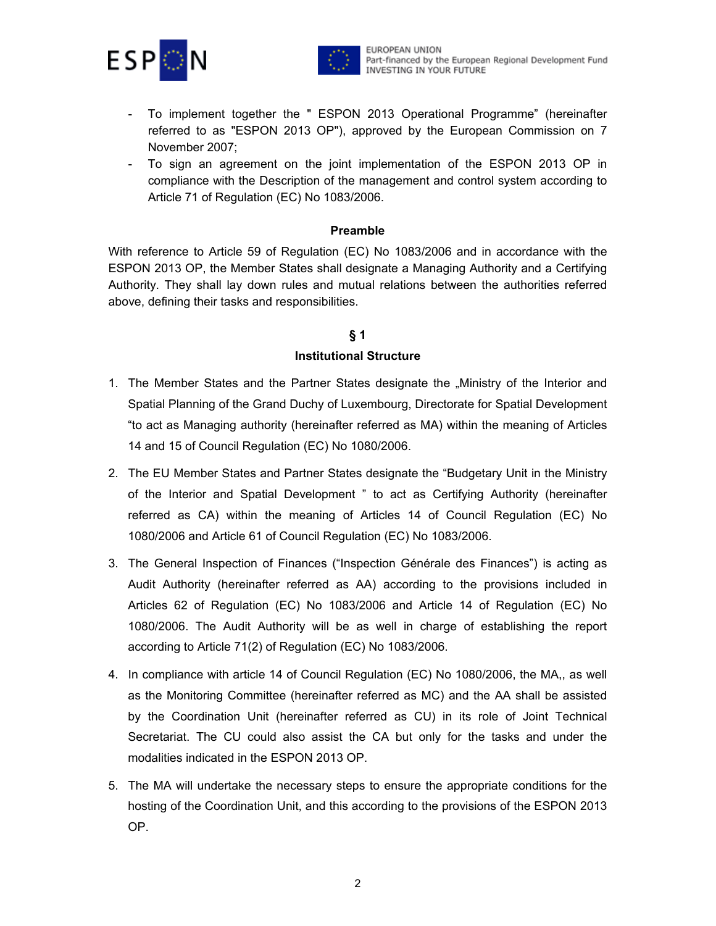



- To implement together the " ESPON 2013 Operational Programme" (hereinafter referred to as "ESPON 2013 OP"), approved by the European Commission on 7 November 2007;
- To sign an agreement on the joint implementation of the ESPON 2013 OP in compliance with the Description of the management and control system according to Article 71 of Regulation (EC) No 1083/2006.

#### **Preamble**

With reference to Article 59 of Regulation (EC) No 1083/2006 and in accordance with the ESPON 2013 OP, the Member States shall designate a Managing Authority and a Certifying Authority. They shall lay down rules and mutual relations between the authorities referred above, defining their tasks and responsibilities.

#### **§ 1**

#### **Institutional Structure**

- 1. The Member States and the Partner States designate the "Ministry of the Interior and Spatial Planning of the Grand Duchy of Luxembourg, Directorate for Spatial Development "to act as Managing authority (hereinafter referred as MA) within the meaning of Articles 14 and 15 of Council Regulation (EC) No 1080/2006.
- 2. The EU Member States and Partner States designate the "Budgetary Unit in the Ministry of the Interior and Spatial Development " to act as Certifying Authority (hereinafter referred as CA) within the meaning of Articles 14 of Council Regulation (EC) No 1080/2006 and Article 61 of Council Regulation (EC) No 1083/2006.
- 3. The General Inspection of Finances ("Inspection Générale des Finances") is acting as Audit Authority (hereinafter referred as AA) according to the provisions included in Articles 62 of Regulation (EC) No 1083/2006 and Article 14 of Regulation (EC) No 1080/2006. The Audit Authority will be as well in charge of establishing the report according to Article 71(2) of Regulation (EC) No 1083/2006.
- 4. In compliance with article 14 of Council Regulation (EC) No 1080/2006, the MA,, as well as the Monitoring Committee (hereinafter referred as MC) and the AA shall be assisted by the Coordination Unit (hereinafter referred as CU) in its role of Joint Technical Secretariat. The CU could also assist the CA but only for the tasks and under the modalities indicated in the ESPON 2013 OP.
- 5. The MA will undertake the necessary steps to ensure the appropriate conditions for the hosting of the Coordination Unit, and this according to the provisions of the ESPON 2013 OP.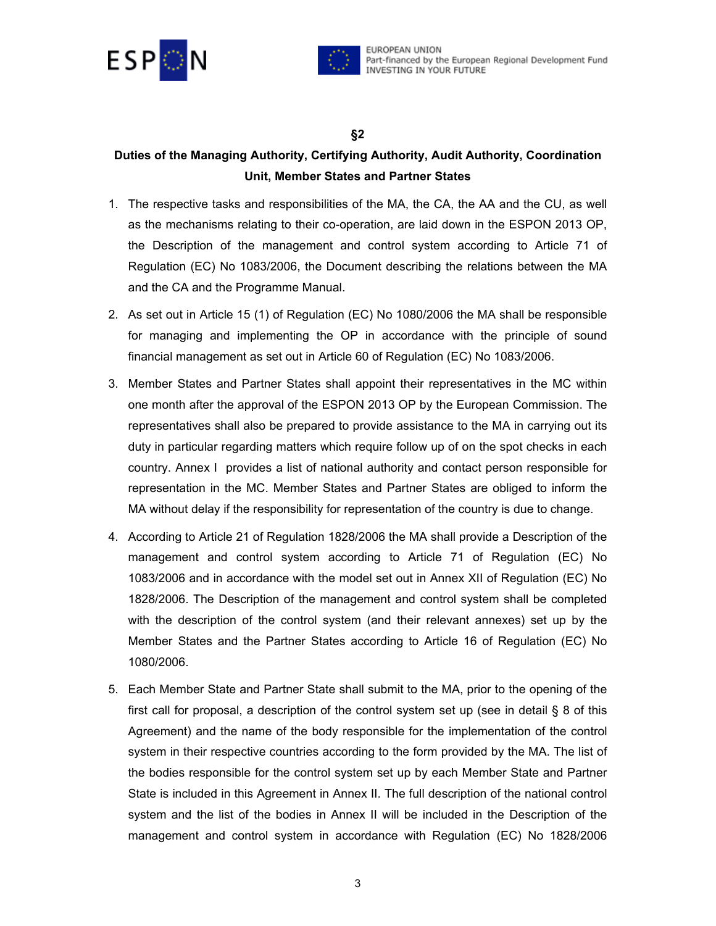



#### **§2**

### **Duties of the Managing Authority, Certifying Authority, Audit Authority, Coordination Unit, Member States and Partner States**

- 1. The respective tasks and responsibilities of the MA, the CA, the AA and the CU, as well as the mechanisms relating to their co-operation, are laid down in the ESPON 2013 OP, the Description of the management and control system according to Article 71 of Regulation (EC) No 1083/2006, the Document describing the relations between the MA and the CA and the Programme Manual.
- 2. As set out in Article 15 (1) of Regulation (EC) No 1080/2006 the MA shall be responsible for managing and implementing the OP in accordance with the principle of sound financial management as set out in Article 60 of Regulation (EC) No 1083/2006.
- 3. Member States and Partner States shall appoint their representatives in the MC within one month after the approval of the ESPON 2013 OP by the European Commission. The representatives shall also be prepared to provide assistance to the MA in carrying out its duty in particular regarding matters which require follow up of on the spot checks in each country. Annex I provides a list of national authority and contact person responsible for representation in the MC. Member States and Partner States are obliged to inform the MA without delay if the responsibility for representation of the country is due to change.
- 4. According to Article 21 of Regulation 1828/2006 the MA shall provide a Description of the management and control system according to Article 71 of Regulation (EC) No 1083/2006 and in accordance with the model set out in Annex XII of Regulation (EC) No 1828/2006. The Description of the management and control system shall be completed with the description of the control system (and their relevant annexes) set up by the Member States and the Partner States according to Article 16 of Regulation (EC) No 1080/2006.
- 5. Each Member State and Partner State shall submit to the MA, prior to the opening of the first call for proposal, a description of the control system set up (see in detail § 8 of this Agreement) and the name of the body responsible for the implementation of the control system in their respective countries according to the form provided by the MA. The list of the bodies responsible for the control system set up by each Member State and Partner State is included in this Agreement in Annex II. The full description of the national control system and the list of the bodies in Annex II will be included in the Description of the management and control system in accordance with Regulation (EC) No 1828/2006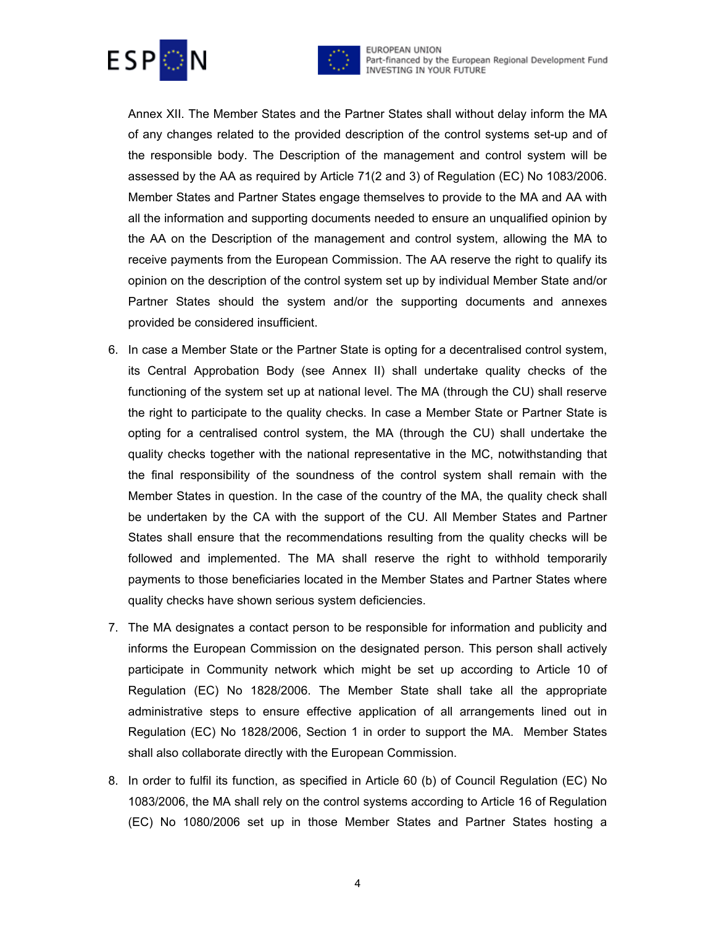



EUROPEAN UNION Part-financed by the European Regional Development Fund<br>INVESTING IN YOUR FUTURE

Annex XII. The Member States and the Partner States shall without delay inform the MA of any changes related to the provided description of the control systems set-up and of the responsible body. The Description of the management and control system will be assessed by the AA as required by Article 71(2 and 3) of Regulation (EC) No 1083/2006. Member States and Partner States engage themselves to provide to the MA and AA with all the information and supporting documents needed to ensure an unqualified opinion by the AA on the Description of the management and control system, allowing the MA to receive payments from the European Commission. The AA reserve the right to qualify its opinion on the description of the control system set up by individual Member State and/or Partner States should the system and/or the supporting documents and annexes provided be considered insufficient.

- 6. In case a Member State or the Partner State is opting for a decentralised control system, its Central Approbation Body (see Annex II) shall undertake quality checks of the functioning of the system set up at national level. The MA (through the CU) shall reserve the right to participate to the quality checks. In case a Member State or Partner State is opting for a centralised control system, the MA (through the CU) shall undertake the quality checks together with the national representative in the MC, notwithstanding that the final responsibility of the soundness of the control system shall remain with the Member States in question. In the case of the country of the MA, the quality check shall be undertaken by the CA with the support of the CU. All Member States and Partner States shall ensure that the recommendations resulting from the quality checks will be followed and implemented. The MA shall reserve the right to withhold temporarily payments to those beneficiaries located in the Member States and Partner States where quality checks have shown serious system deficiencies.
- 7. The MA designates a contact person to be responsible for information and publicity and informs the European Commission on the designated person. This person shall actively participate in Community network which might be set up according to Article 10 of Regulation (EC) No 1828/2006. The Member State shall take all the appropriate administrative steps to ensure effective application of all arrangements lined out in Regulation (EC) No 1828/2006, Section 1 in order to support the MA. Member States shall also collaborate directly with the European Commission.
- 8. In order to fulfil its function, as specified in Article 60 (b) of Council Regulation (EC) No 1083/2006, the MA shall rely on the control systems according to Article 16 of Regulation (EC) No 1080/2006 set up in those Member States and Partner States hosting a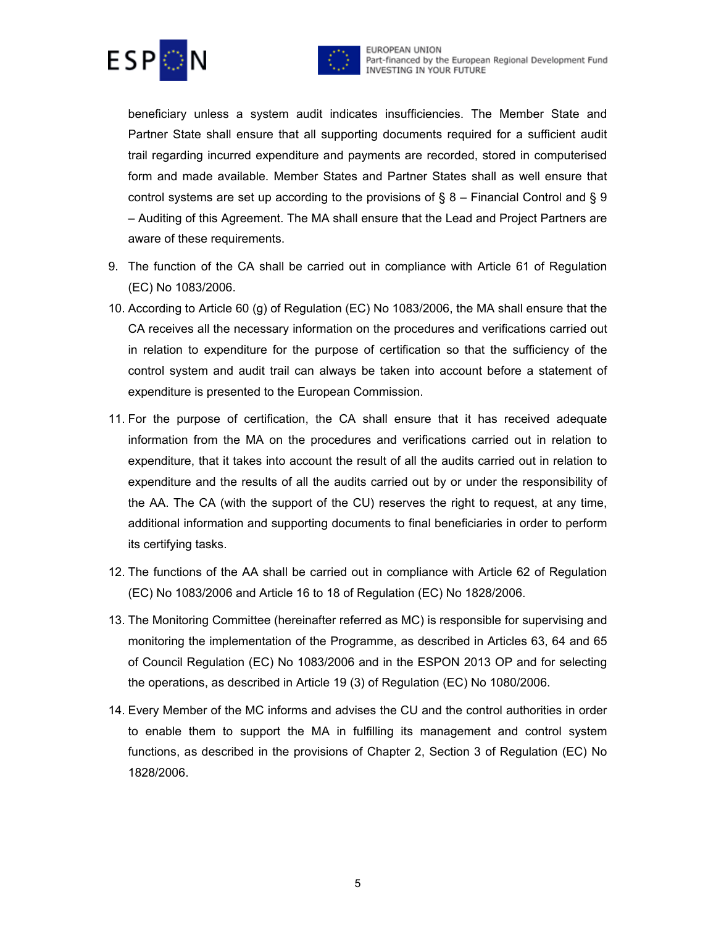



beneficiary unless a system audit indicates insufficiencies. The Member State and Partner State shall ensure that all supporting documents required for a sufficient audit trail regarding incurred expenditure and payments are recorded, stored in computerised form and made available. Member States and Partner States shall as well ensure that control systems are set up according to the provisions of  $\S 8$  – Financial Control and  $\S 9$ – Auditing of this Agreement. The MA shall ensure that the Lead and Project Partners are aware of these requirements.

- 9. The function of the CA shall be carried out in compliance with Article 61 of Regulation (EC) No 1083/2006.
- 10. According to Article 60 (g) of Regulation (EC) No 1083/2006, the MA shall ensure that the CA receives all the necessary information on the procedures and verifications carried out in relation to expenditure for the purpose of certification so that the sufficiency of the control system and audit trail can always be taken into account before a statement of expenditure is presented to the European Commission.
- 11. For the purpose of certification, the CA shall ensure that it has received adequate information from the MA on the procedures and verifications carried out in relation to expenditure, that it takes into account the result of all the audits carried out in relation to expenditure and the results of all the audits carried out by or under the responsibility of the AA. The CA (with the support of the CU) reserves the right to request, at any time, additional information and supporting documents to final beneficiaries in order to perform its certifying tasks.
- 12. The functions of the AA shall be carried out in compliance with Article 62 of Regulation (EC) No 1083/2006 and Article 16 to 18 of Regulation (EC) No 1828/2006.
- 13. The Monitoring Committee (hereinafter referred as MC) is responsible for supervising and monitoring the implementation of the Programme, as described in Articles 63, 64 and 65 of Council Regulation (EC) No 1083/2006 and in the ESPON 2013 OP and for selecting the operations, as described in Article 19 (3) of Regulation (EC) No 1080/2006.
- 14. Every Member of the MC informs and advises the CU and the control authorities in order to enable them to support the MA in fulfilling its management and control system functions, as described in the provisions of Chapter 2, Section 3 of Regulation (EC) No 1828/2006.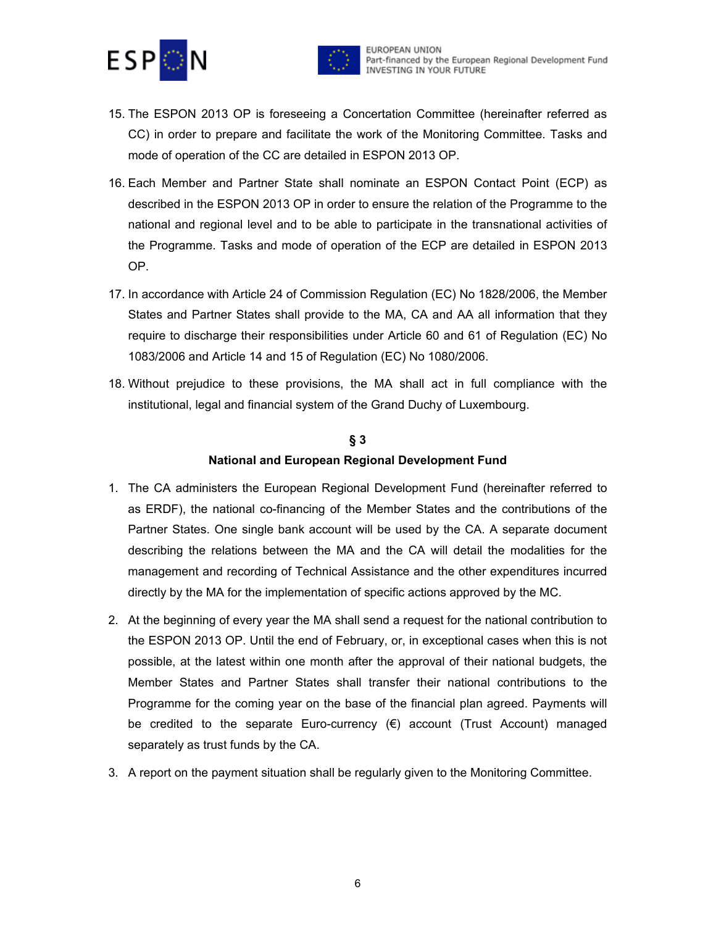



- 15. The ESPON 2013 OP is foreseeing a Concertation Committee (hereinafter referred as CC) in order to prepare and facilitate the work of the Monitoring Committee. Tasks and mode of operation of the CC are detailed in ESPON 2013 OP.
- 16. Each Member and Partner State shall nominate an ESPON Contact Point (ECP) as described in the ESPON 2013 OP in order to ensure the relation of the Programme to the national and regional level and to be able to participate in the transnational activities of the Programme. Tasks and mode of operation of the ECP are detailed in ESPON 2013 OP.
- 17. In accordance with Article 24 of Commission Regulation (EC) No 1828/2006, the Member States and Partner States shall provide to the MA, CA and AA all information that they require to discharge their responsibilities under Article 60 and 61 of Regulation (EC) No 1083/2006 and Article 14 and 15 of Regulation (EC) No 1080/2006.
- 18. Without prejudice to these provisions, the MA shall act in full compliance with the institutional, legal and financial system of the Grand Duchy of Luxembourg.

### **§ 3 National and European Regional Development Fund**

- 1. The CA administers the European Regional Development Fund (hereinafter referred to as ERDF), the national co-financing of the Member States and the contributions of the Partner States. One single bank account will be used by the CA. A separate document describing the relations between the MA and the CA will detail the modalities for the management and recording of Technical Assistance and the other expenditures incurred directly by the MA for the implementation of specific actions approved by the MC.
- 2. At the beginning of every year the MA shall send a request for the national contribution to the ESPON 2013 OP. Until the end of February, or, in exceptional cases when this is not possible, at the latest within one month after the approval of their national budgets, the Member States and Partner States shall transfer their national contributions to the Programme for the coming year on the base of the financial plan agreed. Payments will be credited to the separate Euro-currency (€) account (Trust Account) managed separately as trust funds by the CA.
- 3. A report on the payment situation shall be regularly given to the Monitoring Committee.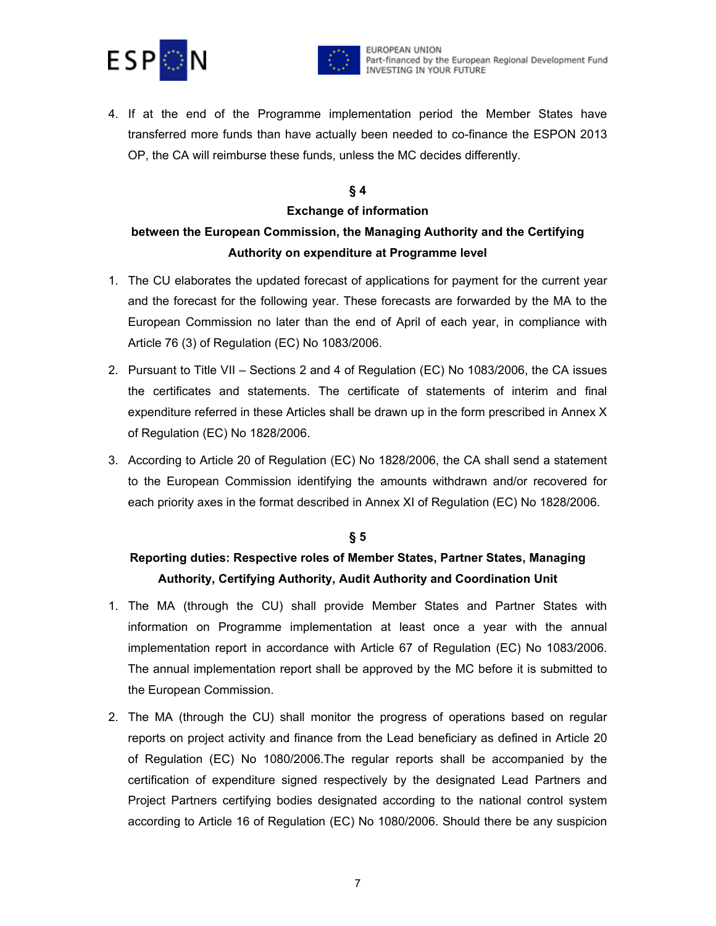



4. If at the end of the Programme implementation period the Member States have transferred more funds than have actually been needed to co-finance the ESPON 2013 OP, the CA will reimburse these funds, unless the MC decides differently.

#### **§ 4**

#### **Exchange of information**

### **between the European Commission, the Managing Authority and the Certifying Authority on expenditure at Programme level**

- 1. The CU elaborates the updated forecast of applications for payment for the current year and the forecast for the following year. These forecasts are forwarded by the MA to the European Commission no later than the end of April of each year, in compliance with Article 76 (3) of Regulation (EC) No 1083/2006.
- 2. Pursuant to Title VII Sections 2 and 4 of Regulation (EC) No 1083/2006, the CA issues the certificates and statements. The certificate of statements of interim and final expenditure referred in these Articles shall be drawn up in the form prescribed in Annex X of Regulation (EC) No 1828/2006.
- 3. According to Article 20 of Regulation (EC) No 1828/2006, the CA shall send a statement to the European Commission identifying the amounts withdrawn and/or recovered for each priority axes in the format described in Annex XI of Regulation (EC) No 1828/2006.

#### **§ 5**

### **Reporting duties: Respective roles of Member States, Partner States, Managing Authority, Certifying Authority, Audit Authority and Coordination Unit**

- 1. The MA (through the CU) shall provide Member States and Partner States with information on Programme implementation at least once a year with the annual implementation report in accordance with Article 67 of Regulation (EC) No 1083/2006. The annual implementation report shall be approved by the MC before it is submitted to the European Commission.
- 2. The MA (through the CU) shall monitor the progress of operations based on regular reports on project activity and finance from the Lead beneficiary as defined in Article 20 of Regulation (EC) No 1080/2006.The regular reports shall be accompanied by the certification of expenditure signed respectively by the designated Lead Partners and Project Partners certifying bodies designated according to the national control system according to Article 16 of Regulation (EC) No 1080/2006. Should there be any suspicion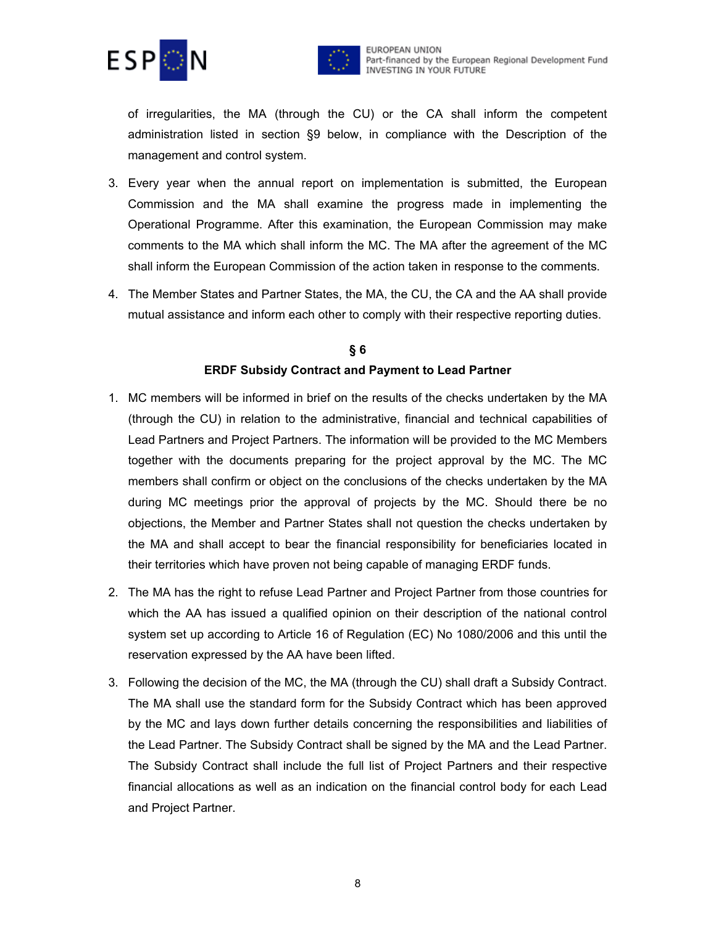



of irregularities, the MA (through the CU) or the CA shall inform the competent administration listed in section §9 below, in compliance with the Description of the management and control system.

- 3. Every year when the annual report on implementation is submitted, the European Commission and the MA shall examine the progress made in implementing the Operational Programme. After this examination, the European Commission may make comments to the MA which shall inform the MC. The MA after the agreement of the MC shall inform the European Commission of the action taken in response to the comments.
- 4. The Member States and Partner States, the MA, the CU, the CA and the AA shall provide mutual assistance and inform each other to comply with their respective reporting duties.

### **§ 6 ERDF Subsidy Contract and Payment to Lead Partner**

- 1. MC members will be informed in brief on the results of the checks undertaken by the MA (through the CU) in relation to the administrative, financial and technical capabilities of Lead Partners and Project Partners. The information will be provided to the MC Members together with the documents preparing for the project approval by the MC. The MC members shall confirm or object on the conclusions of the checks undertaken by the MA during MC meetings prior the approval of projects by the MC. Should there be no objections, the Member and Partner States shall not question the checks undertaken by the MA and shall accept to bear the financial responsibility for beneficiaries located in their territories which have proven not being capable of managing ERDF funds.
- 2. The MA has the right to refuse Lead Partner and Project Partner from those countries for which the AA has issued a qualified opinion on their description of the national control system set up according to Article 16 of Regulation (EC) No 1080/2006 and this until the reservation expressed by the AA have been lifted.
- 3. Following the decision of the MC, the MA (through the CU) shall draft a Subsidy Contract. The MA shall use the standard form for the Subsidy Contract which has been approved by the MC and lays down further details concerning the responsibilities and liabilities of the Lead Partner. The Subsidy Contract shall be signed by the MA and the Lead Partner. The Subsidy Contract shall include the full list of Project Partners and their respective financial allocations as well as an indication on the financial control body for each Lead and Project Partner.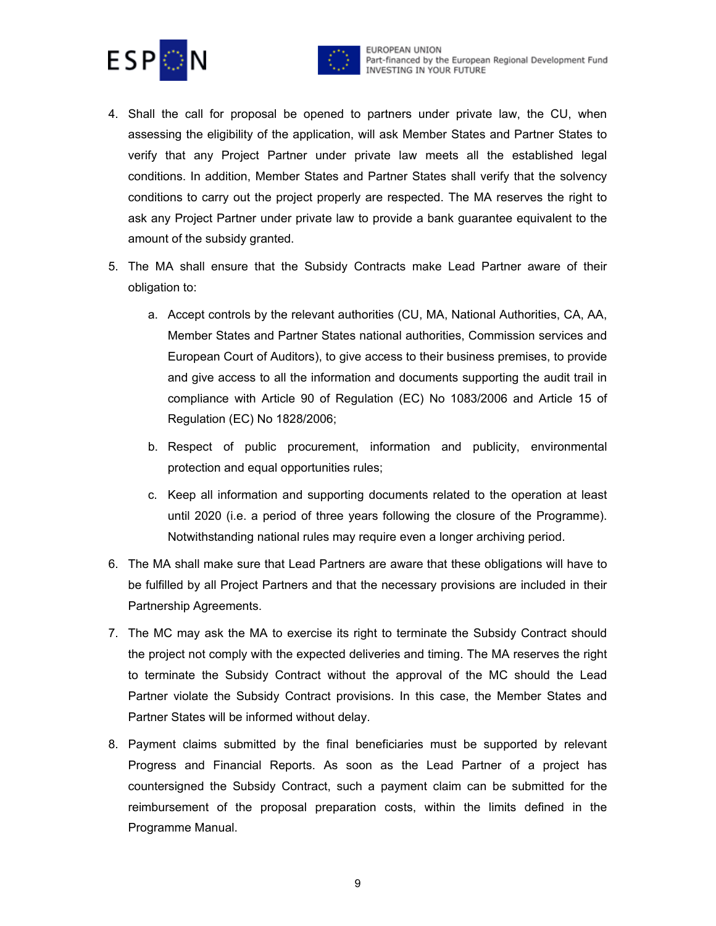



- 4. Shall the call for proposal be opened to partners under private law, the CU, when assessing the eligibility of the application, will ask Member States and Partner States to verify that any Project Partner under private law meets all the established legal conditions. In addition, Member States and Partner States shall verify that the solvency conditions to carry out the project properly are respected. The MA reserves the right to ask any Project Partner under private law to provide a bank guarantee equivalent to the amount of the subsidy granted.
- 5. The MA shall ensure that the Subsidy Contracts make Lead Partner aware of their obligation to:
	- a. Accept controls by the relevant authorities (CU, MA, National Authorities, CA, AA, Member States and Partner States national authorities, Commission services and European Court of Auditors), to give access to their business premises, to provide and give access to all the information and documents supporting the audit trail in compliance with Article 90 of Regulation (EC) No 1083/2006 and Article 15 of Regulation (EC) No 1828/2006;
	- b. Respect of public procurement, information and publicity, environmental protection and equal opportunities rules;
	- c. Keep all information and supporting documents related to the operation at least until 2020 (i.e. a period of three years following the closure of the Programme). Notwithstanding national rules may require even a longer archiving period.
- 6. The MA shall make sure that Lead Partners are aware that these obligations will have to be fulfilled by all Project Partners and that the necessary provisions are included in their Partnership Agreements.
- 7. The MC may ask the MA to exercise its right to terminate the Subsidy Contract should the project not comply with the expected deliveries and timing. The MA reserves the right to terminate the Subsidy Contract without the approval of the MC should the Lead Partner violate the Subsidy Contract provisions. In this case, the Member States and Partner States will be informed without delay.
- 8. Payment claims submitted by the final beneficiaries must be supported by relevant Progress and Financial Reports. As soon as the Lead Partner of a project has countersigned the Subsidy Contract, such a payment claim can be submitted for the reimbursement of the proposal preparation costs, within the limits defined in the Programme Manual.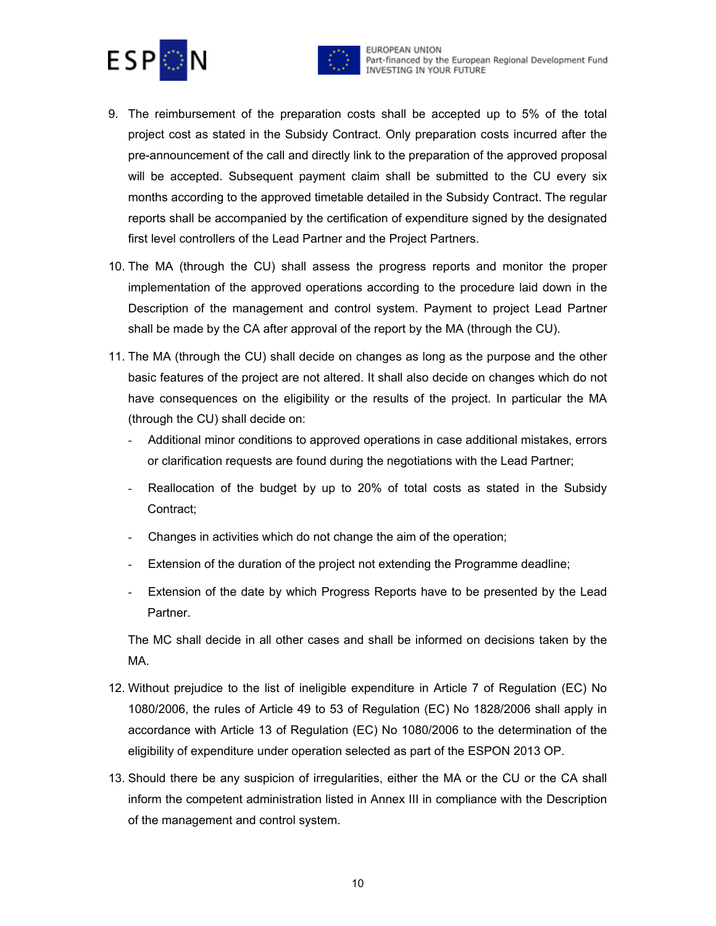



- 9. The reimbursement of the preparation costs shall be accepted up to 5% of the total project cost as stated in the Subsidy Contract. Only preparation costs incurred after the pre-announcement of the call and directly link to the preparation of the approved proposal will be accepted. Subsequent payment claim shall be submitted to the CU every six months according to the approved timetable detailed in the Subsidy Contract. The regular reports shall be accompanied by the certification of expenditure signed by the designated first level controllers of the Lead Partner and the Project Partners.
- 10. The MA (through the CU) shall assess the progress reports and monitor the proper implementation of the approved operations according to the procedure laid down in the Description of the management and control system. Payment to project Lead Partner shall be made by the CA after approval of the report by the MA (through the CU).
- 11. The MA (through the CU) shall decide on changes as long as the purpose and the other basic features of the project are not altered. It shall also decide on changes which do not have consequences on the eligibility or the results of the project. In particular the MA (through the CU) shall decide on:
	- Additional minor conditions to approved operations in case additional mistakes, errors or clarification requests are found during the negotiations with the Lead Partner;
	- Reallocation of the budget by up to 20% of total costs as stated in the Subsidy Contract;
	- Changes in activities which do not change the aim of the operation;
	- Extension of the duration of the project not extending the Programme deadline;
	- Extension of the date by which Progress Reports have to be presented by the Lead Partner.

The MC shall decide in all other cases and shall be informed on decisions taken by the MA.

- 12. Without prejudice to the list of ineligible expenditure in Article 7 of Regulation (EC) No 1080/2006, the rules of Article 49 to 53 of Regulation (EC) No 1828/2006 shall apply in accordance with Article 13 of Regulation (EC) No 1080/2006 to the determination of the eligibility of expenditure under operation selected as part of the ESPON 2013 OP.
- 13. Should there be any suspicion of irregularities, either the MA or the CU or the CA shall inform the competent administration listed in Annex III in compliance with the Description of the management and control system.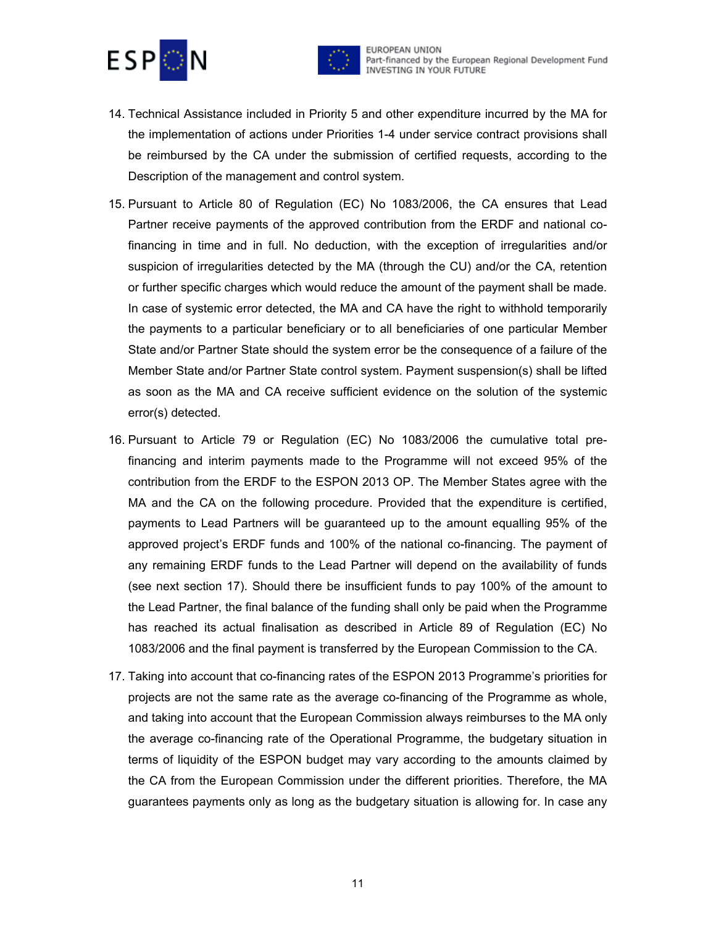



- 14. Technical Assistance included in Priority 5 and other expenditure incurred by the MA for the implementation of actions under Priorities 1-4 under service contract provisions shall be reimbursed by the CA under the submission of certified requests, according to the Description of the management and control system.
- 15. Pursuant to Article 80 of Regulation (EC) No 1083/2006, the CA ensures that Lead Partner receive payments of the approved contribution from the ERDF and national cofinancing in time and in full. No deduction, with the exception of irregularities and/or suspicion of irregularities detected by the MA (through the CU) and/or the CA, retention or further specific charges which would reduce the amount of the payment shall be made. In case of systemic error detected, the MA and CA have the right to withhold temporarily the payments to a particular beneficiary or to all beneficiaries of one particular Member State and/or Partner State should the system error be the consequence of a failure of the Member State and/or Partner State control system. Payment suspension(s) shall be lifted as soon as the MA and CA receive sufficient evidence on the solution of the systemic error(s) detected.
- 16. Pursuant to Article 79 or Regulation (EC) No 1083/2006 the cumulative total prefinancing and interim payments made to the Programme will not exceed 95% of the contribution from the ERDF to the ESPON 2013 OP. The Member States agree with the MA and the CA on the following procedure. Provided that the expenditure is certified, payments to Lead Partners will be guaranteed up to the amount equalling 95% of the approved project's ERDF funds and 100% of the national co-financing. The payment of any remaining ERDF funds to the Lead Partner will depend on the availability of funds (see next section 17). Should there be insufficient funds to pay 100% of the amount to the Lead Partner, the final balance of the funding shall only be paid when the Programme has reached its actual finalisation as described in Article 89 of Regulation (EC) No 1083/2006 and the final payment is transferred by the European Commission to the CA.
- 17. Taking into account that co-financing rates of the ESPON 2013 Programme's priorities for projects are not the same rate as the average co-financing of the Programme as whole, and taking into account that the European Commission always reimburses to the MA only the average co-financing rate of the Operational Programme, the budgetary situation in terms of liquidity of the ESPON budget may vary according to the amounts claimed by the CA from the European Commission under the different priorities. Therefore, the MA guarantees payments only as long as the budgetary situation is allowing for. In case any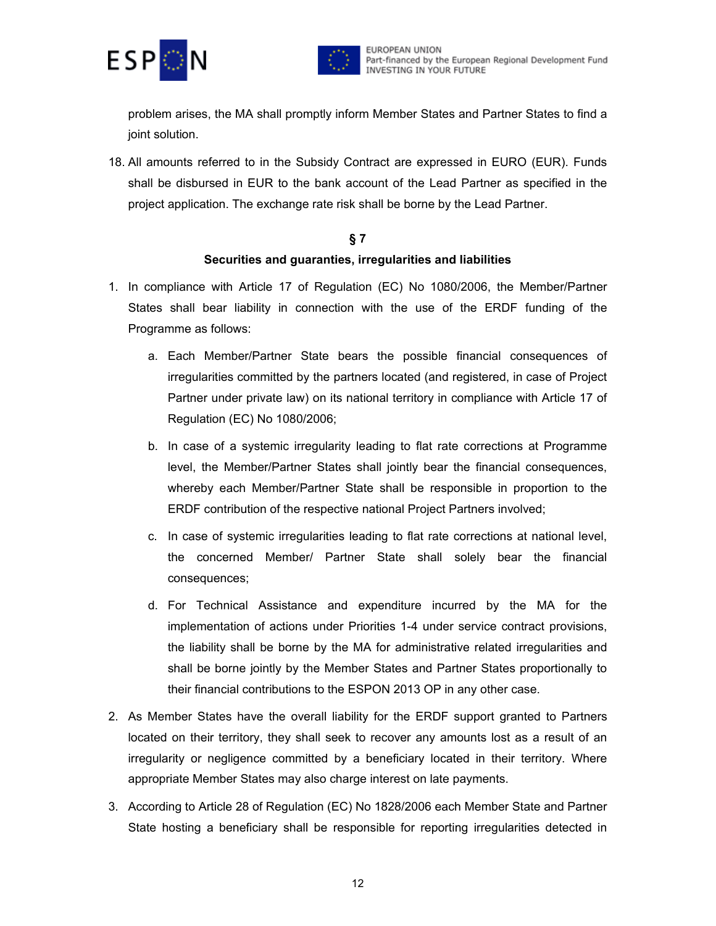



problem arises, the MA shall promptly inform Member States and Partner States to find a joint solution.

18. All amounts referred to in the Subsidy Contract are expressed in EURO (EUR). Funds shall be disbursed in EUR to the bank account of the Lead Partner as specified in the project application. The exchange rate risk shall be borne by the Lead Partner.

### **§ 7 Securities and guaranties, irregularities and liabilities**

- 1. In compliance with Article 17 of Regulation (EC) No 1080/2006, the Member/Partner States shall bear liability in connection with the use of the ERDF funding of the Programme as follows:
	- a. Each Member/Partner State bears the possible financial consequences of irregularities committed by the partners located (and registered, in case of Project Partner under private law) on its national territory in compliance with Article 17 of Regulation (EC) No 1080/2006;
	- b. In case of a systemic irregularity leading to flat rate corrections at Programme level, the Member/Partner States shall jointly bear the financial consequences, whereby each Member/Partner State shall be responsible in proportion to the ERDF contribution of the respective national Project Partners involved;
	- c. In case of systemic irregularities leading to flat rate corrections at national level, the concerned Member/ Partner State shall solely bear the financial consequences;
	- d. For Technical Assistance and expenditure incurred by the MA for the implementation of actions under Priorities 1-4 under service contract provisions, the liability shall be borne by the MA for administrative related irregularities and shall be borne jointly by the Member States and Partner States proportionally to their financial contributions to the ESPON 2013 OP in any other case.
- 2. As Member States have the overall liability for the ERDF support granted to Partners located on their territory, they shall seek to recover any amounts lost as a result of an irregularity or negligence committed by a beneficiary located in their territory. Where appropriate Member States may also charge interest on late payments.
- 3. According to Article 28 of Regulation (EC) No 1828/2006 each Member State and Partner State hosting a beneficiary shall be responsible for reporting irregularities detected in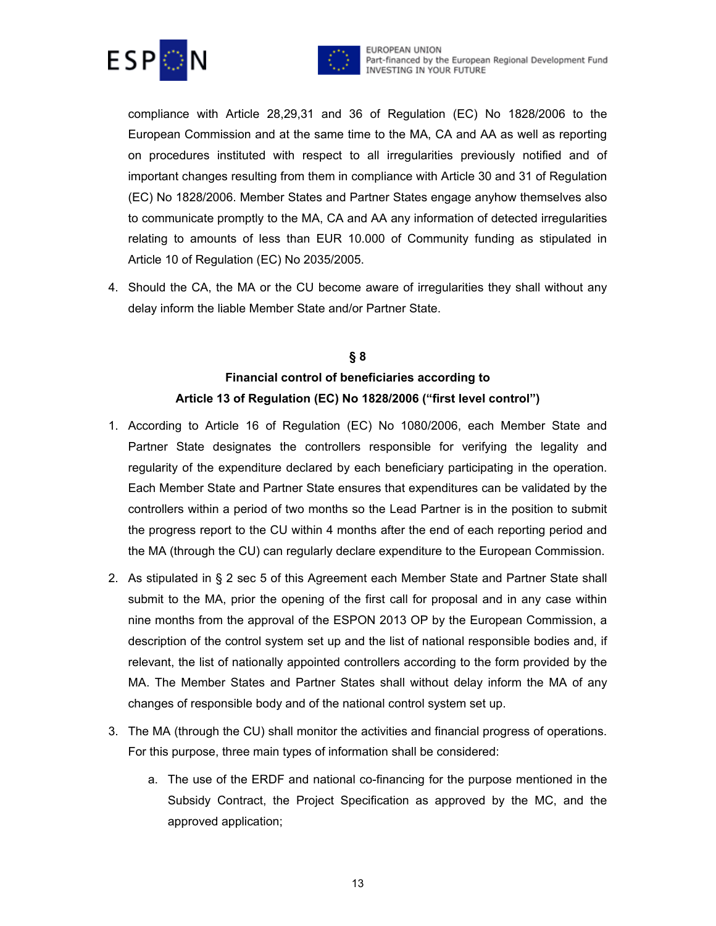



compliance with Article 28,29,31 and 36 of Regulation (EC) No 1828/2006 to the European Commission and at the same time to the MA, CA and AA as well as reporting on procedures instituted with respect to all irregularities previously notified and of important changes resulting from them in compliance with Article 30 and 31 of Regulation (EC) No 1828/2006. Member States and Partner States engage anyhow themselves also to communicate promptly to the MA, CA and AA any information of detected irregularities relating to amounts of less than EUR 10.000 of Community funding as stipulated in Article 10 of Regulation (EC) No 2035/2005.

4. Should the CA, the MA or the CU become aware of irregularities they shall without any delay inform the liable Member State and/or Partner State.

## **§ 8 Financial control of beneficiaries according to Article 13 of Regulation (EC) No 1828/2006 ("first level control")**

- 1. According to Article 16 of Regulation (EC) No 1080/2006, each Member State and Partner State designates the controllers responsible for verifying the legality and regularity of the expenditure declared by each beneficiary participating in the operation. Each Member State and Partner State ensures that expenditures can be validated by the controllers within a period of two months so the Lead Partner is in the position to submit the progress report to the CU within 4 months after the end of each reporting period and the MA (through the CU) can regularly declare expenditure to the European Commission.
- 2. As stipulated in § 2 sec 5 of this Agreement each Member State and Partner State shall submit to the MA, prior the opening of the first call for proposal and in any case within nine months from the approval of the ESPON 2013 OP by the European Commission, a description of the control system set up and the list of national responsible bodies and, if relevant, the list of nationally appointed controllers according to the form provided by the MA. The Member States and Partner States shall without delay inform the MA of any changes of responsible body and of the national control system set up.
- 3. The MA (through the CU) shall monitor the activities and financial progress of operations. For this purpose, three main types of information shall be considered:
	- a. The use of the ERDF and national co-financing for the purpose mentioned in the Subsidy Contract, the Project Specification as approved by the MC, and the approved application;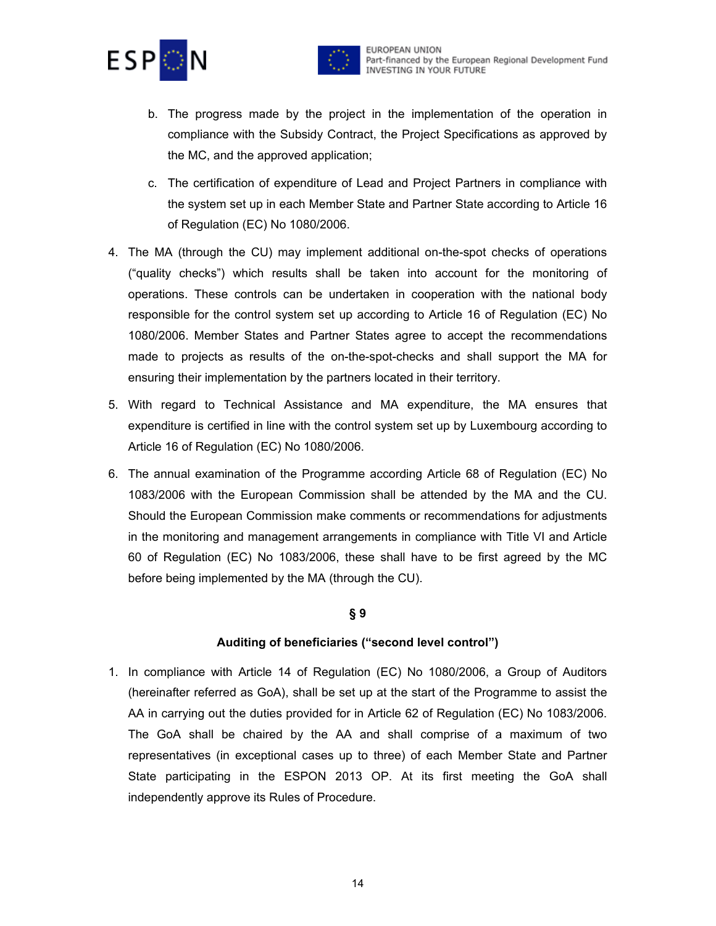



- b. The progress made by the project in the implementation of the operation in compliance with the Subsidy Contract, the Project Specifications as approved by the MC, and the approved application;
- c. The certification of expenditure of Lead and Project Partners in compliance with the system set up in each Member State and Partner State according to Article 16 of Regulation (EC) No 1080/2006.
- 4. The MA (through the CU) may implement additional on-the-spot checks of operations ("quality checks") which results shall be taken into account for the monitoring of operations. These controls can be undertaken in cooperation with the national body responsible for the control system set up according to Article 16 of Regulation (EC) No 1080/2006. Member States and Partner States agree to accept the recommendations made to projects as results of the on-the-spot-checks and shall support the MA for ensuring their implementation by the partners located in their territory.
- 5. With regard to Technical Assistance and MA expenditure, the MA ensures that expenditure is certified in line with the control system set up by Luxembourg according to Article 16 of Regulation (EC) No 1080/2006.
- 6. The annual examination of the Programme according Article 68 of Regulation (EC) No 1083/2006 with the European Commission shall be attended by the MA and the CU. Should the European Commission make comments or recommendations for adjustments in the monitoring and management arrangements in compliance with Title VI and Article 60 of Regulation (EC) No 1083/2006, these shall have to be first agreed by the MC before being implemented by the MA (through the CU).

#### **§ 9**

#### **Auditing of beneficiaries ("second level control")**

1. In compliance with Article 14 of Regulation (EC) No 1080/2006, a Group of Auditors (hereinafter referred as GoA), shall be set up at the start of the Programme to assist the AA in carrying out the duties provided for in Article 62 of Regulation (EC) No 1083/2006. The GoA shall be chaired by the AA and shall comprise of a maximum of two representatives (in exceptional cases up to three) of each Member State and Partner State participating in the ESPON 2013 OP. At its first meeting the GoA shall independently approve its Rules of Procedure.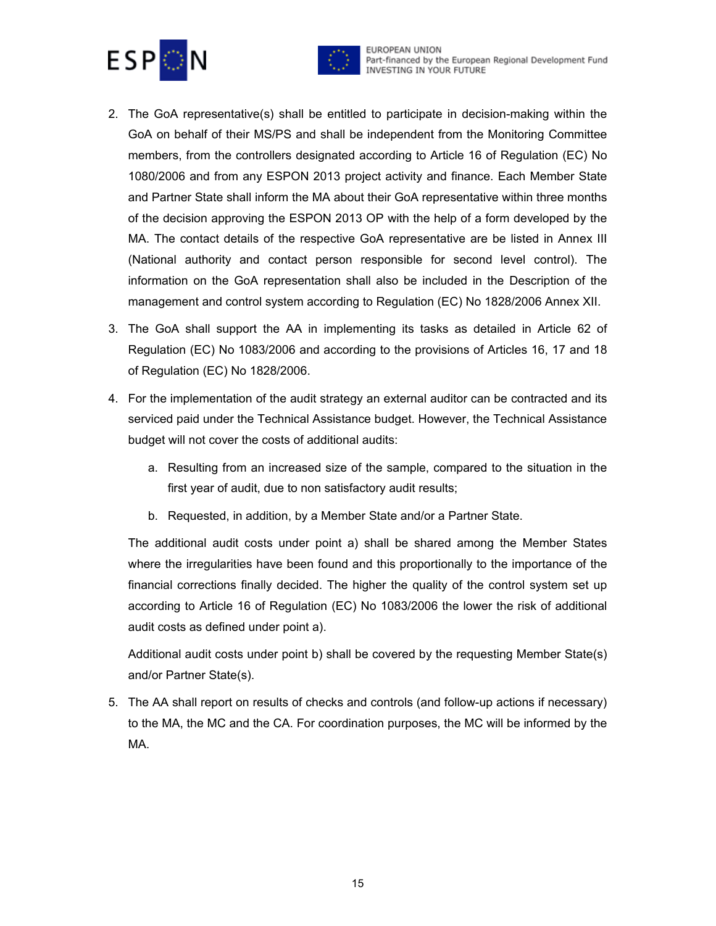



- 2. The GoA representative(s) shall be entitled to participate in decision-making within the GoA on behalf of their MS/PS and shall be independent from the Monitoring Committee members, from the controllers designated according to Article 16 of Regulation (EC) No 1080/2006 and from any ESPON 2013 project activity and finance. Each Member State and Partner State shall inform the MA about their GoA representative within three months of the decision approving the ESPON 2013 OP with the help of a form developed by the MA. The contact details of the respective GoA representative are be listed in Annex III (National authority and contact person responsible for second level control). The information on the GoA representation shall also be included in the Description of the management and control system according to Regulation (EC) No 1828/2006 Annex XII.
- 3. The GoA shall support the AA in implementing its tasks as detailed in Article 62 of Regulation (EC) No 1083/2006 and according to the provisions of Articles 16, 17 and 18 of Regulation (EC) No 1828/2006.
- 4. For the implementation of the audit strategy an external auditor can be contracted and its serviced paid under the Technical Assistance budget. However, the Technical Assistance budget will not cover the costs of additional audits:
	- a. Resulting from an increased size of the sample, compared to the situation in the first year of audit, due to non satisfactory audit results;
	- b. Requested, in addition, by a Member State and/or a Partner State.

The additional audit costs under point a) shall be shared among the Member States where the irregularities have been found and this proportionally to the importance of the financial corrections finally decided. The higher the quality of the control system set up according to Article 16 of Regulation (EC) No 1083/2006 the lower the risk of additional audit costs as defined under point a).

Additional audit costs under point b) shall be covered by the requesting Member State(s) and/or Partner State(s).

5. The AA shall report on results of checks and controls (and follow-up actions if necessary) to the MA, the MC and the CA. For coordination purposes, the MC will be informed by the MA.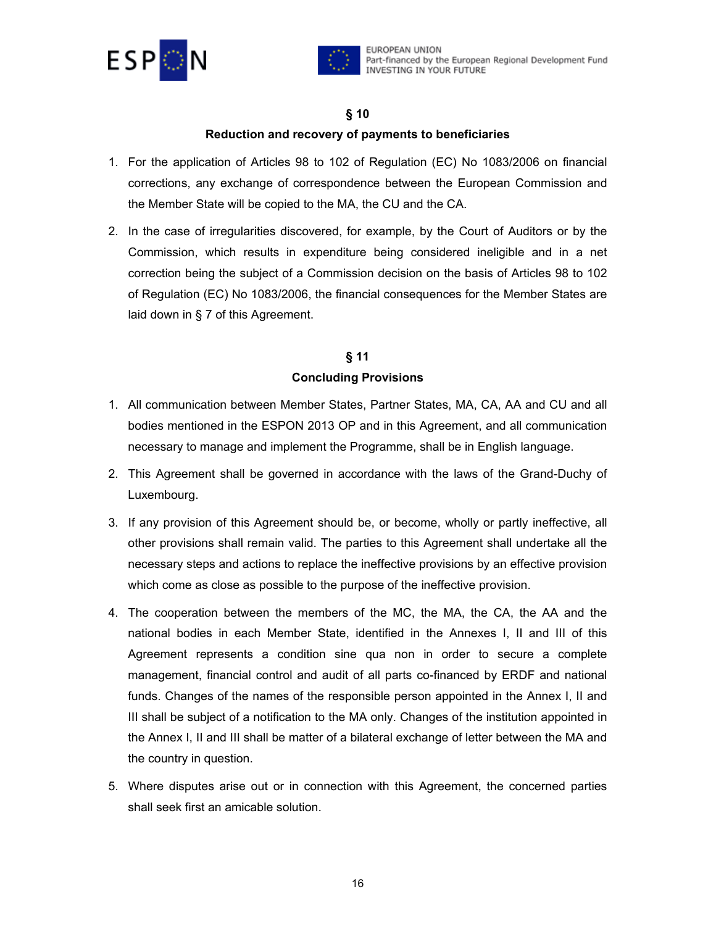



#### **§ 10**

#### **Reduction and recovery of payments to beneficiaries**

- 1. For the application of Articles 98 to 102 of Regulation (EC) No 1083/2006 on financial corrections, any exchange of correspondence between the European Commission and the Member State will be copied to the MA, the CU and the CA.
- 2. In the case of irregularities discovered, for example, by the Court of Auditors or by the Commission, which results in expenditure being considered ineligible and in a net correction being the subject of a Commission decision on the basis of Articles 98 to 102 of Regulation (EC) No 1083/2006, the financial consequences for the Member States are laid down in § 7 of this Agreement.

### **§ 11 Concluding Provisions**

- 1. All communication between Member States, Partner States, MA, CA, AA and CU and all bodies mentioned in the ESPON 2013 OP and in this Agreement, and all communication necessary to manage and implement the Programme, shall be in English language.
- 2. This Agreement shall be governed in accordance with the laws of the Grand-Duchy of Luxembourg.
- 3. If any provision of this Agreement should be, or become, wholly or partly ineffective, all other provisions shall remain valid. The parties to this Agreement shall undertake all the necessary steps and actions to replace the ineffective provisions by an effective provision which come as close as possible to the purpose of the ineffective provision.
- 4. The cooperation between the members of the MC, the MA, the CA, the AA and the national bodies in each Member State, identified in the Annexes I, II and III of this Agreement represents a condition sine qua non in order to secure a complete management, financial control and audit of all parts co-financed by ERDF and national funds. Changes of the names of the responsible person appointed in the Annex I, II and III shall be subject of a notification to the MA only. Changes of the institution appointed in the Annex I, II and III shall be matter of a bilateral exchange of letter between the MA and the country in question.
- 5. Where disputes arise out or in connection with this Agreement, the concerned parties shall seek first an amicable solution.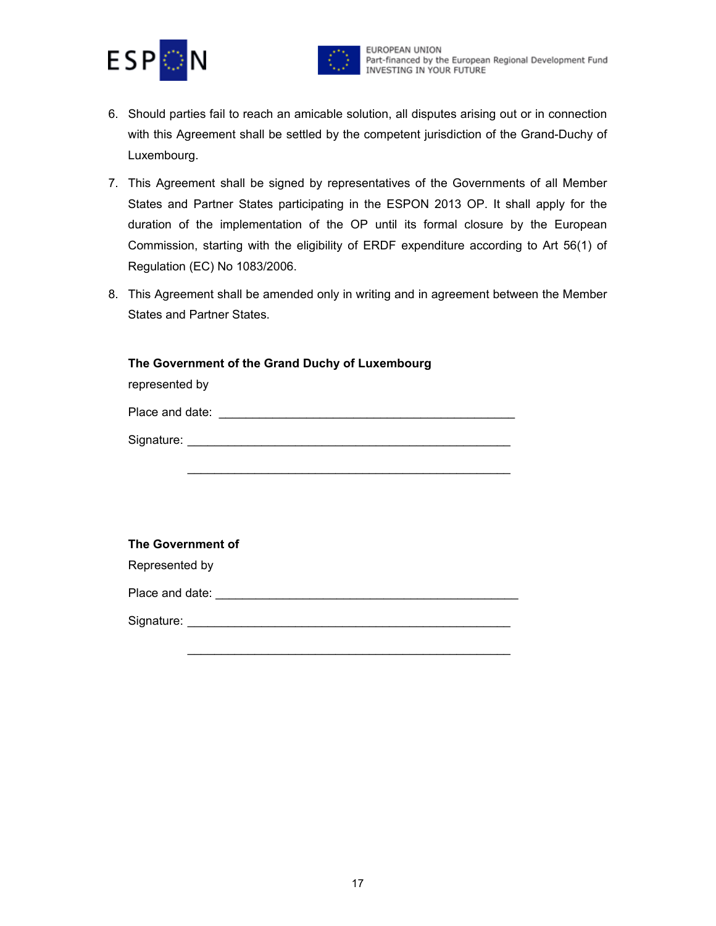



- 6. Should parties fail to reach an amicable solution, all disputes arising out or in connection with this Agreement shall be settled by the competent jurisdiction of the Grand-Duchy of Luxembourg.
- 7. This Agreement shall be signed by representatives of the Governments of all Member States and Partner States participating in the ESPON 2013 OP. It shall apply for the duration of the implementation of the OP until its formal closure by the European Commission, starting with the eligibility of ERDF expenditure according to Art 56(1) of Regulation (EC) No 1083/2006.
- 8. This Agreement shall be amended only in writing and in agreement between the Member States and Partner States.

| The Government of the Grand Duchy of Luxembourg<br>represented by |
|-------------------------------------------------------------------|
|                                                                   |
|                                                                   |
|                                                                   |
|                                                                   |
|                                                                   |
| <b>The Government of</b>                                          |
| Represented by                                                    |
|                                                                   |
|                                                                   |
|                                                                   |